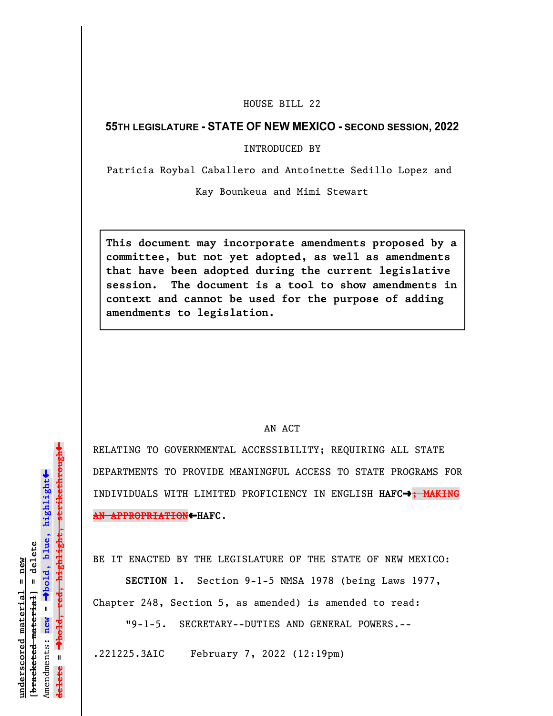## HOUSE BILL 22

## **55TH LEGISLATURE - STATE OF NEW MEXICO - SECOND SESSION, 2022**

INTRODUCED BY

Patricia Roybal Caballero and Antoinette Sedillo Lopez and

Kay Bounkeua and Mimi Stewart

**This document may incorporate amendments proposed by a committee, but not yet adopted, as well as amendments that have been adopted during the current legislative session. The document is a tool to show amendments in context and cannot be used for the purpose of adding amendments to legislation.**

## AN ACT

RELATING TO GOVERNMENTAL ACCESSIBILITY; REQUIRING ALL STATE DEPARTMENTS TO PROVIDE MEANINGFUL ACCESS TO STATE PROGRAMS FOR INDIVIDUALS WITH LIMITED PROFICIENCY IN ENGLISH **HAFC**º**; MAKING AN APPROPRIATION**»**HAFC**.

BE IT ENACTED BY THE LEGISLATURE OF THE STATE OF NEW MEXICO:

**SECTION 1.** Section 9-1-5 NMSA 1978 (being Laws 1977, Chapter 248, Section 5, as amended) is amended to read:

"9-1-5. SECRETARY--DUTIES AND GENERAL POWERS.--

.221225.3AIC February 7, 2022 (12:19pm)

» $\rightarrow$ bold, red, highlight, strikethrough º**bold, red, highlight, strikethrough**  $\ddot{\bullet}$ º**bold, blue, highlight**  $b$ racketed material] = delete **[bracketed material] = delete** inderscored material = new **underscored material = new** Amendments: new = Amendments: **new** =  $\mathbf{u}$ **delete =** lelete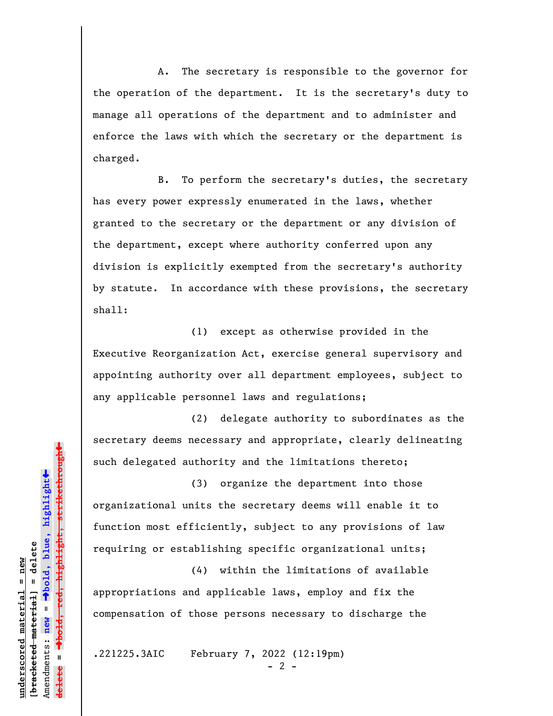A. The secretary is responsible to the governor for the operation of the department. It is the secretary's duty to manage all operations of the department and to administer and enforce the laws with which the secretary or the department is charged.

B. To perform the secretary's duties, the secretary has every power expressly enumerated in the laws, whether granted to the secretary or the department or any division of the department, except where authority conferred upon any division is explicitly exempted from the secretary's authority by statute. In accordance with these provisions, the secretary shall:

(1) except as otherwise provided in the Executive Reorganization Act, exercise general supervisory and appointing authority over all department employees, subject to any applicable personnel laws and regulations;

(2) delegate authority to subordinates as the secretary deems necessary and appropriate, clearly delineating such delegated authority and the limitations thereto;

(3) organize the department into those organizational units the secretary deems will enable it to function most efficiently, subject to any provisions of law requiring or establishing specific organizational units;

(4) within the limitations of available appropriations and applicable laws, employ and fix the compensation of those persons necessary to discharge the

.221225.3AIC February 7, 2022 (12:19pm)

 $- 2 -$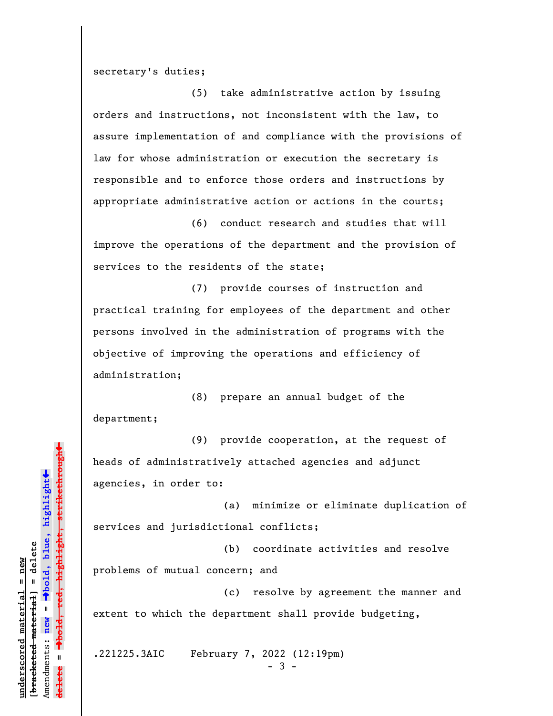secretary's duties;

(5) take administrative action by issuing orders and instructions, not inconsistent with the law, to assure implementation of and compliance with the provisions of law for whose administration or execution the secretary is responsible and to enforce those orders and instructions by appropriate administrative action or actions in the courts;

(6) conduct research and studies that will improve the operations of the department and the provision of services to the residents of the state;

(7) provide courses of instruction and practical training for employees of the department and other persons involved in the administration of programs with the objective of improving the operations and efficiency of administration;

(8) prepare an annual budget of the department;

(9) provide cooperation, at the request of heads of administratively attached agencies and adjunct agencies, in order to:

(a) minimize or eliminate duplication of services and jurisdictional conflicts;

(b) coordinate activities and resolve problems of mutual concern; and

(c) resolve by agreement the manner and extent to which the department shall provide budgeting,

.221225.3AIC February 7, 2022 (12:19pm)

- 3 -

»º**bold, red, highlight, strikethrough** <del>highlight, strikethrou</del>  $\ddot{\bullet}$ º**bold, blue, highlight** bracketed material] = delete **[bracketed material] = delete** inderscored material = new **underscored material = new** Amendments: **new** =  $\mathbf{u}$ Amendments: new **delete =**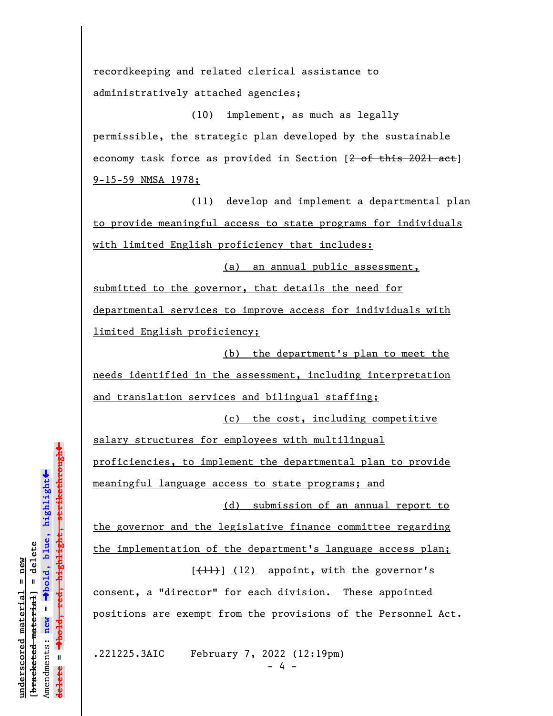recordkeeping and related clerical assistance to administratively attached agencies;

(10) implement, as much as legally permissible, the strategic plan developed by the sustainable economy task force as provided in Section  $[2 - 6f + 202]$  act] 9-15-59 NMSA 1978;

(11) develop and implement a departmental plan to provide meaningful access to state programs for individuals with limited English proficiency that includes:

(a) an annual public assessment, submitted to the governor, that details the need for departmental services to improve access for individuals with limited English proficiency;

(b) the department's plan to meet the needs identified in the assessment, including interpretation and translation services and bilingual staffing;

(c) the cost, including competitive

salary structures for employees with multilingual proficiencies, to implement the departmental plan to provide meaningful language access to state programs; and

(d) submission of an annual report to

the governor and the legislative finance committee regarding

the implementation of the department's language access plan;

 $[\frac{11}{1}]$  (12) appoint, with the governor's consent, a "director" for each division. These appointed positions are exempt from the provisions of the Personnel Act.

.221225.3AIC February 7, 2022 (12:19pm)

**underscored material = new [bracketed material] = delete**

bracketed material] = delete inderscored material = new

Amendments: **new** =

Amendments: new =  $\mathbf{I}$ 

**delete =**

lelete

º**bold, blue, highlight**

º**bold, red, highlight, strikethrough**

 $\ddot{\bullet}$ 

 $\ddag$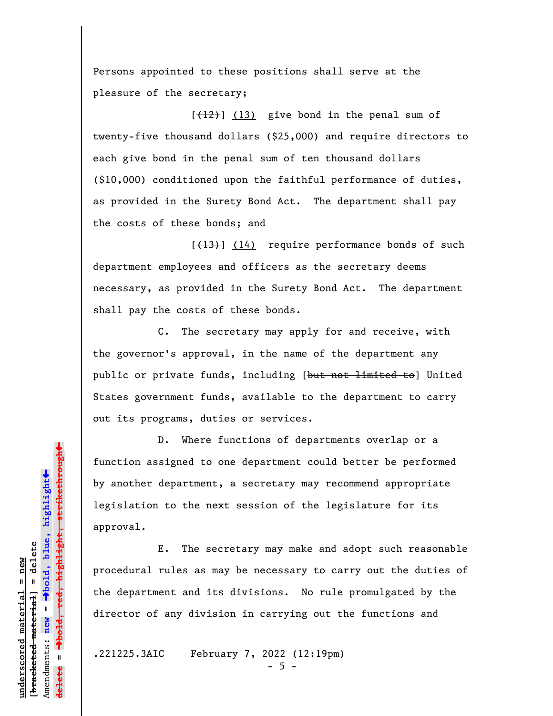Persons appointed to these positions shall serve at the pleasure of the secretary;

 $[+12]$  (13) give bond in the penal sum of twenty-five thousand dollars (\$25,000) and require directors to each give bond in the penal sum of ten thousand dollars (\$10,000) conditioned upon the faithful performance of duties, as provided in the Surety Bond Act. The department shall pay the costs of these bonds; and

 $[+13)$  (14) require performance bonds of such department employees and officers as the secretary deems necessary, as provided in the Surety Bond Act. The department shall pay the costs of these bonds.

C. The secretary may apply for and receive, with the governor's approval, in the name of the department any public or private funds, including [but not limited to] United States government funds, available to the department to carry out its programs, duties or services.

D. Where functions of departments overlap or a function assigned to one department could better be performed by another department, a secretary may recommend appropriate legislation to the next session of the legislature for its approval.

E. The secretary may make and adopt such reasonable procedural rules as may be necessary to carry out the duties of the department and its divisions. No rule promulgated by the director of any division in carrying out the functions and

.221225.3AIC February 7, 2022 (12:19pm)

» $\rightarrow$ bold, red, highlight, strikethrough º**bold, red, highlight, strikethrough**  $\ddot{\bullet}$ º**bold, blue, highlight** bracketed material] = delete **[bracketed material] = delete** inderscored material = new **underscored material = new** Amendments: **new** =  $\bar{\mathbf{u}}$ Amendments: new **delete =**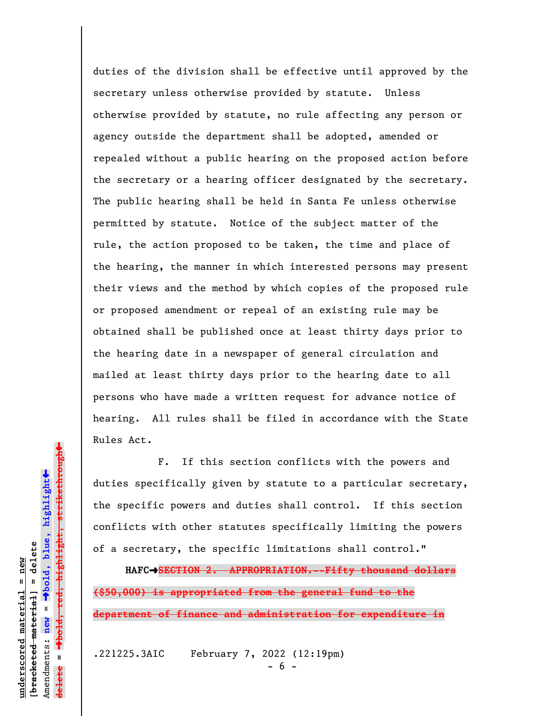duties of the division shall be effective until approved by the secretary unless otherwise provided by statute. Unless otherwise provided by statute, no rule affecting any person or agency outside the department shall be adopted, amended or repealed without a public hearing on the proposed action before the secretary or a hearing officer designated by the secretary. The public hearing shall be held in Santa Fe unless otherwise permitted by statute. Notice of the subject matter of the rule, the action proposed to be taken, the time and place of the hearing, the manner in which interested persons may present their views and the method by which copies of the proposed rule or proposed amendment or repeal of an existing rule may be obtained shall be published once at least thirty days prior to the hearing date in a newspaper of general circulation and mailed at least thirty days prior to the hearing date to all persons who have made a written request for advance notice of hearing. All rules shall be filed in accordance with the State Rules Act.

F. If this section conflicts with the powers and duties specifically given by statute to a particular secretary, the specific powers and duties shall control. If this section conflicts with other statutes specifically limiting the powers of a secretary, the specific limitations shall control."

**HAFC**º**SECTION 2. APPROPRIATION.--Fifty thousand dollars (\$50,000) is appropriated from the general fund to the department of finance and administration for expenditure in**

.221225.3AIC February 7, 2022 (12:19pm)

º**bold, red, highlight, strikethrough**  $\ddot{\bullet}$ º**bold, blue, highlight**  $b$ racketed material] = delete **[bracketed material] = delete** inderscored material = new **underscored material = new** Amendments: new = Amendments: **new** =  $\mathbf{I}$ **delete =** lelete

 $\ddag$